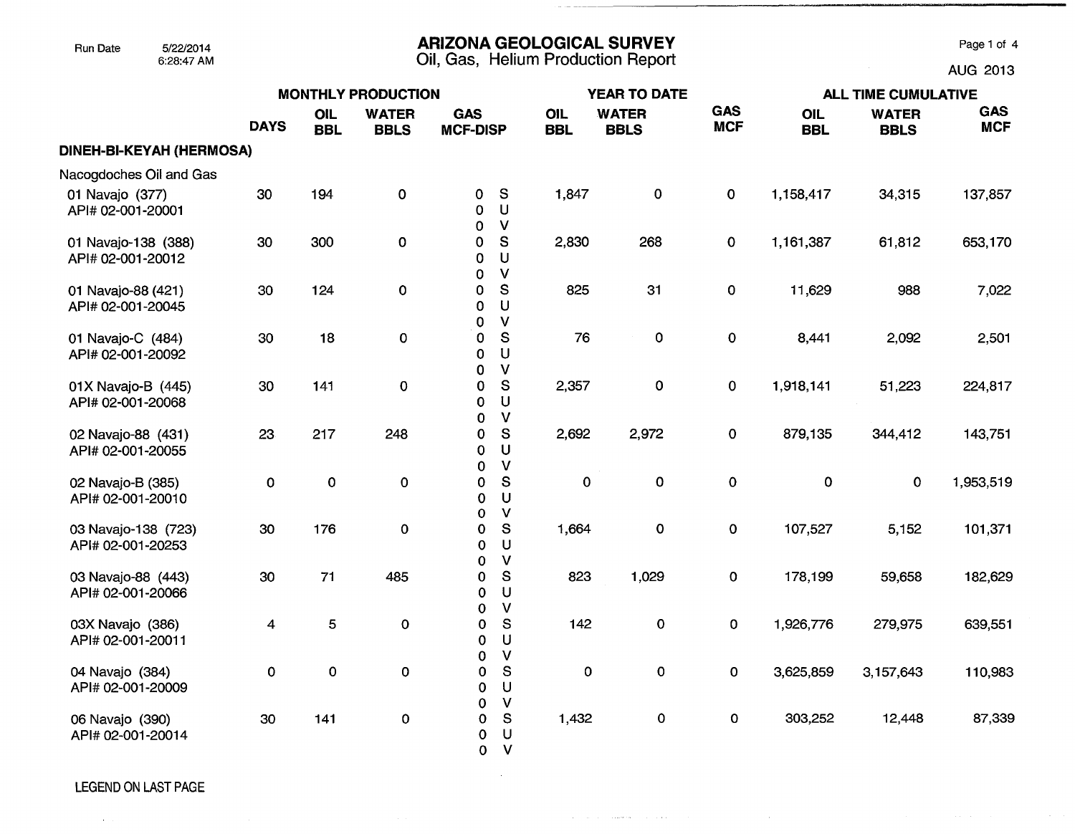## Run Date 5/22/2014 **ARIZONA GEOLOGICAL SURVEY** Page 1 of 4

 $\cdots\cdots\cdots$ 

6:28:47 AM **COLOGY AUG 2013** Oil, Gas, Helium Production Report **AUG 2013** AUG 2013

|                                          |             |                    | <b>MONTHLY PRODUCTION</b>   |                               |                                         | <b>YEAR TO DATE</b> |                             |                          | <b>ALL TIME CUMULATIVE</b> |                             |                          |  |
|------------------------------------------|-------------|--------------------|-----------------------------|-------------------------------|-----------------------------------------|---------------------|-----------------------------|--------------------------|----------------------------|-----------------------------|--------------------------|--|
|                                          | <b>DAYS</b> | OIL<br><b>BBL</b>  | <b>WATER</b><br><b>BBLS</b> | <b>GAS</b><br><b>MCF-DISP</b> |                                         | OIL<br><b>BBL</b>   | <b>WATER</b><br><b>BBLS</b> | <b>GAS</b><br><b>MCF</b> | <b>OIL</b><br><b>BBL</b>   | <b>WATER</b><br><b>BBLS</b> | <b>GAS</b><br><b>MCF</b> |  |
| <b>DINEH-BI-KEYAH (HERMOSA)</b>          |             |                    |                             |                               |                                         |                     |                             |                          |                            |                             |                          |  |
| Nacogdoches Oil and Gas                  |             |                    |                             |                               |                                         |                     |                             |                          |                            |                             |                          |  |
| 01 Navajo (377)<br>API# 02-001-20001     | 30          | 194                | 0                           | 0<br>0<br>0                   | $\mathbf{s}$<br>$\cup$<br>$\mathsf{V}$  | 1,847               | $\mathbf 0$                 | $\mathbf 0$              | 1,158,417                  | 34,315                      | 137,857                  |  |
| 01 Navajo-138 (388)<br>API# 02-001-20012 | 30          | 300                | 0                           | 0<br>0<br>0                   | ${\mathsf S}$<br>$\cup$<br>$\mathbf{V}$ | 2,830               | 268                         | $\pmb{0}$                | 1,161,387                  | 61,812                      | 653,170                  |  |
| 01 Navajo-88 (421)<br>API# 02-001-20045  | 30          | 124                | 0                           | 0<br>0<br>0                   | S<br>$\cup$<br>$\mathsf{V}$             | 825                 | 31                          | $\pmb{0}$                | 11,629                     | 988                         | 7,022                    |  |
| 01 Navajo-C (484)<br>API# 02-001-20092   | 30          | 18                 | 0                           | 0<br>$\mathbf 0$              | S<br>U<br>$\mathsf{V}$                  | 76                  | 0                           | $\mathbf 0$              | 8,441                      | 2,092                       | 2,501                    |  |
| 01X Navajo-B (445)<br>API# 02-001-20068  | 30          | 141                | $\pmb{0}$                   | 0<br>0<br>0                   | ${\mathsf S}$<br>$\cup$<br>$\mathsf{V}$ | 2,357               | $\pmb{0}$                   | 0                        | 1,918,141                  | 51,223                      | 224,817                  |  |
| 02 Navajo-88 (431)<br>API# 02-001-20055  | 23          | 217                | 248                         | $\mathbf 0$<br>0<br>0<br>0    | ${\sf S}$<br>U<br>$\mathsf{V}$          | 2,692               | 2,972                       | 0                        | 879,135                    | 344,412                     | 143,751                  |  |
| 02 Navajo-B (385)<br>API# 02-001-20010   | $\mathbf 0$ | $\pmb{\mathsf{O}}$ | $\pmb{0}$                   | 0<br>0<br>0                   | S<br>U<br>V                             | $\pmb{0}$           | $\pmb{0}$                   | $\mathbf 0$              | $\mathbf 0$                | $\pmb{0}$                   | 1,953,519                |  |
| 03 Navajo-138 (723)<br>API# 02-001-20253 | 30          | 176                | 0                           | 0<br>$\mathbf 0$<br>0         | $\mathbf{s}$<br>U<br>$\mathsf{V}$       | 1,664               | $\mathbf 0$                 | 0                        | 107,527                    | 5,152                       | 101,371                  |  |
| 03 Navajo-88 (443)<br>API# 02-001-20066  | 30          | 71                 | 485                         | 0<br>0<br>0                   | ${\mathsf S}$<br>U<br>$\mathsf{V}$      | 823                 | 1,029                       | 0                        | 178,199                    | 59,658                      | 182,629                  |  |
| 03X Navajo (386)<br>API# 02-001-20011    | 4           | 5                  | $\pmb{0}$                   | 0<br>0<br>0                   | ${\mathbb S}$<br>U<br>$\mathsf{V}$      | 142                 | $\mathbf{O}$                | $\mathbf 0$              | 1,926,776                  | 279,975                     | 639,551                  |  |
| 04 Navajo (384)<br>API# 02-001-20009     | 0           | $\pmb{0}$          | 0                           | 0<br>0<br>0                   | $\mathbf S$<br>$\cup$<br>$\mathsf{V}$   | $\mathbf 0$         | $\mathbf 0$                 | $\mathbf 0$              | 3,625,859                  | 3,157,643                   | 110,983                  |  |
| 06 Navajo (390)<br>API# 02-001-20014     | 30          | 141                | 0                           | 0<br>0<br>$\mathbf 0$         | $\mathbf S$<br>U<br>$\mathsf{V}$        | 1,432               | 0                           | 0                        | 303,252                    | 12,448                      | 87,339                   |  |

 $\sim$ 

 $\Delta\phi$  , which is a subsequently in the second  $\phi$ 

 $\sim 6\%$ 

## LEGEND ON LAST PAGE

 $\sim$   $\sim$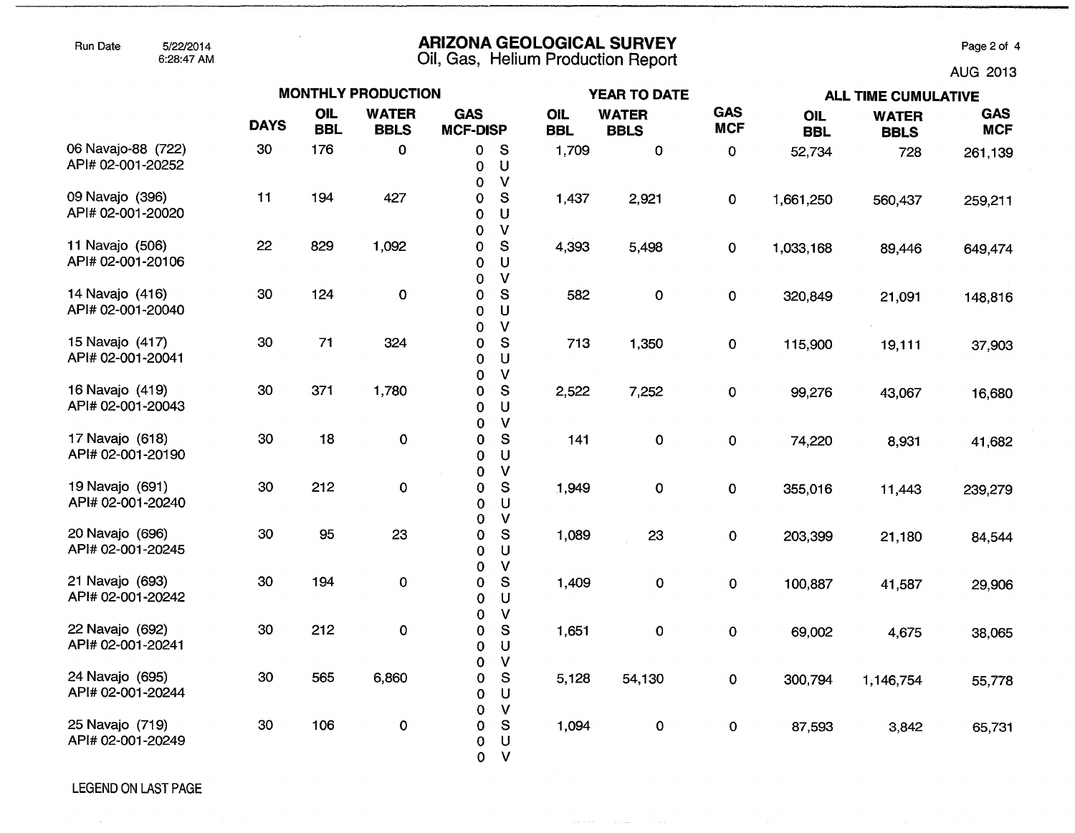Run Date 5/2212014 **ARIZONA GEOLOGICAL SURVEY** Page 2 of 4

6:28:47 AM Oil, Gas, Helium Production Report AUG 2013

|                                         | <b>MONTHLY PRODUCTION</b> |                   |                             |                               |                                         |                   | YEAR TO DATE                |                          |                   | <b>ALL TIME CUMULATIVE</b>  |                          |  |  |
|-----------------------------------------|---------------------------|-------------------|-----------------------------|-------------------------------|-----------------------------------------|-------------------|-----------------------------|--------------------------|-------------------|-----------------------------|--------------------------|--|--|
|                                         | <b>DAYS</b>               | OIL<br><b>BBL</b> | <b>WATER</b><br><b>BBLS</b> | <b>GAS</b><br><b>MCF-DISP</b> |                                         | OIL<br><b>BBL</b> | <b>WATER</b><br><b>BBLS</b> | <b>GAS</b><br><b>MCF</b> | OIL<br><b>BBL</b> | <b>WATER</b><br><b>BBLS</b> | <b>GAS</b><br><b>MCF</b> |  |  |
| 06 Navajo-88 (722)<br>API# 02-001-20252 | 30                        | 176               | 0                           | 0<br>0<br>0                   | S<br>$\cup$<br>$\mathsf{V}$             | 1,709             | $\pmb{0}$                   | $\pmb{0}$                | 52,734            | 728                         | 261,139                  |  |  |
| 09 Navajo (396)<br>API# 02-001-20020    | 11                        | 194               | 427                         | 0<br>0                        | ${\tt S}$<br>$\cup$<br>$\mathsf{V}$     | 1,437             | 2,921                       | 0                        | 1,661,250         | 560,437                     | 259,211                  |  |  |
| 11 Navajo (506)<br>API# 02-001-20106    | 22                        | 829               | 1,092                       | 0<br>0<br>0                   | $\mathbf{s}$<br>U                       | 4,393             | 5,498                       | $\mathbf 0$              | 1,033,168         | 89,446                      | 649,474                  |  |  |
| 14 Navajo (416)<br>API# 02-001-20040    | 30                        | 124               | $\pmb{0}$                   | 0<br>0<br>0                   | $\mathsf{V}$<br>S<br>U                  | 582               | $\mathbf 0$                 | 0                        | 320,849           | 21,091                      | 148,816                  |  |  |
| 15 Navajo (417)<br>API# 02-001-20041    | 30                        | 71                | 324                         | 0<br>0<br>0                   | $\mathsf{V}$<br>${\mathsf S}$<br>U      | 713               | 1,350                       | $\mathbf 0$              | 115,900           | 19,111                      | 37,903                   |  |  |
| 16 Navajo (419)<br>API# 02-001-20043    | 30                        | 371               | 1,780                       | 0<br>0<br>0                   | $\mathsf{V}$<br>S<br>$\cup$             | 2,522             | 7,252                       | $\mathbf 0$              | 99,276            | 43,067                      | 16,680                   |  |  |
| 17 Navajo (618)<br>API# 02-001-20190    | 30                        | 18                | ${\bf 0}$                   | 0<br>0<br>$\mathbf 0$         | $\mathsf{V}$<br>${\mathbb S}$<br>$\cup$ | 141               | $\pmb{0}$                   | 0                        | 74,220            | 8,931                       | 41,682                   |  |  |
| 19 Navajo (691)<br>API# 02-001-20240    | 30                        | 212               | $\bf{0}$                    | 0<br>0<br>0                   | $\mathsf{V}$<br>S<br>U<br>V             | 1,949             | $\pmb{0}$                   | $\mathbf 0$              | 355,016           | 11,443                      | 239,279                  |  |  |
| 20 Navajo (696)<br>API# 02-001-20245    | 30                        | 95                | 23                          | 0<br>0<br>0                   | S<br>U<br>$\mathsf{V}$                  | 1,089             | 23                          | $\pmb{0}$                | 203,399           | 21,180                      | 84,544                   |  |  |
| 21 Navajo (693)<br>API# 02-001-20242    | 30                        | 194               | $\pmb{0}$                   | 0<br>$\pmb{0}$<br>0           | S<br>$\cup$                             | 1,409             | $\pmb{0}$                   | $\pmb{0}$                | 100,887           | 41,587                      | 29,906                   |  |  |
| 22 Navajo (692)<br>API# 02-001-20241    | 30                        | 212               | $\mathbf 0$                 | 0<br>$\pmb{0}$<br>0           | $\mathsf{V}$<br>S<br>$\cup$             | 1,651             | $\pmb{0}$                   | $\pmb{0}$                | 69,002            | 4,675                       | 38,065                   |  |  |
| 24 Navajo (695)<br>API# 02-001-20244    | 30                        | 565               | 6,860                       | 0<br>0<br>$\Omega$            | $\mathsf{V}$<br>${\mathsf S}$<br>U      | 5,128             | 54,130                      | $\pmb{0}$                | 300,794           | 1,146,754                   | 55,778                   |  |  |
| 25 Navajo (719)<br>API# 02-001-20249    | 30                        | 106               | $\mathbf 0$                 | 0<br>0<br>0<br>$\mathbf 0$    | $\mathbf{V}$<br>S<br>U<br>$\vee$        | 1,094             | $\bf 0$                     | $\pmb{0}$                | 87,593            | 3,842                       | 65,731                   |  |  |

 $\alpha$  and  $\alpha$  are  $\alpha$  . The sum of  $\alpha$ 

LEGEND ON LAST PAGE

 $\sim 800$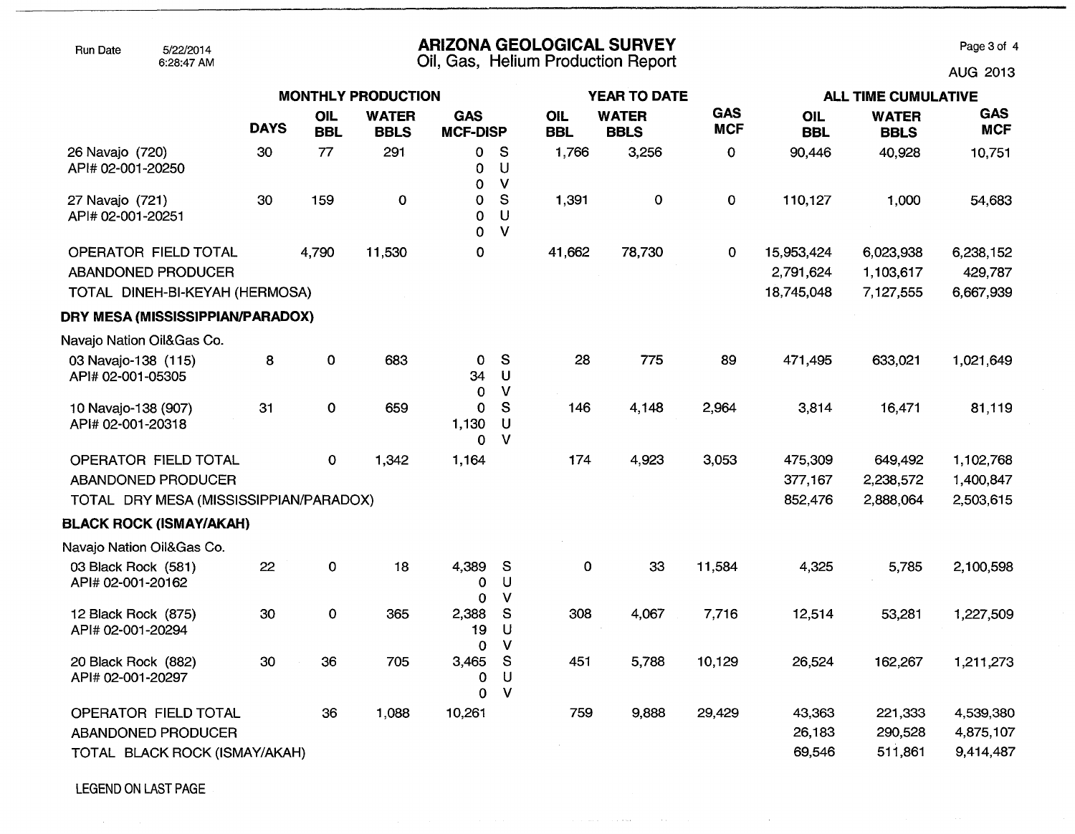## Run Date 5/22/2014 **ARIZONA GEOLOGICAL SURVEY** Page 3 of 4

6:28:47 AM **COLOGY AUG 2013** Oil, Gas, Helium Production Report **AUG 2013** 

|                                                                              |             |                          | <b>MONTHLY PRODUCTION</b>   |                               |                                   |                          | <b>YEAR TO DATE</b>         |                          | <b>ALL TIME CUMULATIVE</b>            |                                     |                                   |  |
|------------------------------------------------------------------------------|-------------|--------------------------|-----------------------------|-------------------------------|-----------------------------------|--------------------------|-----------------------------|--------------------------|---------------------------------------|-------------------------------------|-----------------------------------|--|
|                                                                              | <b>DAYS</b> | <b>OIL</b><br><b>BBL</b> | <b>WATER</b><br><b>BBLS</b> | <b>GAS</b><br><b>MCF-DISP</b> |                                   | <b>OIL</b><br><b>BBL</b> | <b>WATER</b><br><b>BBLS</b> | <b>GAS</b><br><b>MCF</b> | OIL<br><b>BBL</b>                     | <b>WATER</b><br><b>BBLS</b>         | <b>GAS</b><br><b>MCF</b>          |  |
| 26 Navajo (720)<br>API# 02-001-20250                                         | 30          | 77                       | 291                         | 0<br>0<br>0                   | S<br>U<br>$\vee$                  | 1,766                    | 3,256                       | $\mathbf 0$              | 90,446                                | 40,928                              | 10,751                            |  |
| 27 Navajo (721)<br>API# 02-001-20251                                         | 30          | 159                      | $\mathbf 0$                 | 0<br>0<br>0                   | $\mathbf{s}$<br>U<br>$\mathsf{V}$ | 1,391                    | $\pmb{0}$                   | $\mathbf 0$              | 110,127                               | 1,000                               | 54,683                            |  |
| OPERATOR FIELD TOTAL<br>ABANDONED PRODUCER<br>TOTAL DINEH-BI-KEYAH (HERMOSA) |             | 4,790                    | 11,530                      | 0                             |                                   | 41,662                   | 78,730                      | $\mathbf 0$              | 15,953,424<br>2,791,624<br>18,745,048 | 6,023,938<br>1,103,617<br>7,127,555 | 6,238,152<br>429,787<br>6,667,939 |  |
| DRY MESA (MISSISSIPPIAN/PARADOX)                                             |             |                          |                             |                               |                                   |                          |                             |                          |                                       |                                     |                                   |  |
| Navajo Nation Oil&Gas Co.                                                    |             |                          |                             |                               |                                   |                          |                             |                          |                                       |                                     |                                   |  |
| 03 Navajo-138 (115)<br>API# 02-001-05305                                     | 8           | 0                        | 683                         | 0<br>34<br>0                  | S<br>$\mathsf U$<br>$\mathsf{V}$  | 28                       | 775                         | 89                       | 471,495                               | 633,021                             | 1,021,649                         |  |
| 10 Navajo-138 (907)<br>API# 02-001-20318                                     | 31          | $\mathbf 0$              | 659                         | 0<br>1,130<br>$\Omega$        | S<br>U<br>V                       | 146                      | 4,148                       | 2,964                    | 3,814                                 | 16,471                              | 81,119                            |  |
| <b>OPERATOR FIELD TOTAL</b>                                                  |             | 0                        | 1,342                       | 1,164                         |                                   | 174                      | 4,923                       | 3,053                    | 475,309                               | 649,492                             | 1,102,768                         |  |
| ABANDONED PRODUCER                                                           |             |                          |                             |                               |                                   |                          |                             |                          | 377,167                               | 2,238,572                           | 1,400,847                         |  |
| TOTAL DRY MESA (MISSISSIPPIAN/PARADOX)                                       |             |                          |                             |                               |                                   |                          |                             |                          | 852,476                               | 2,888,064                           | 2,503,615                         |  |
| <b>BLACK ROCK (ISMAY/AKAH)</b>                                               |             |                          |                             |                               |                                   |                          |                             |                          |                                       |                                     |                                   |  |
| Navajo Nation Oil&Gas Co.                                                    |             |                          |                             |                               |                                   |                          |                             |                          |                                       |                                     |                                   |  |
| 03 Black Rock (581)<br>API# 02-001-20162                                     | 22          | $\pmb{0}$                | 18                          | 4,389<br>0<br>0               | <sub>S</sub><br>U<br>$\mathsf{V}$ | 0                        | 33                          | 11,584                   | 4,325                                 | 5,785                               | 2,100,598                         |  |
| 12 Black Rock (875)<br>API# 02-001-20294                                     | 30          | $\mathbf 0$              | 365                         | 2,388<br>19<br>0              | S<br>U<br>$\mathsf{V}$            | 308                      | 4,067                       | 7,716                    | 12,514                                | 53,281                              | 1,227,509                         |  |
| 20 Black Rock (882)<br>API# 02-001-20297                                     | 30          | 36                       | 705                         | 3,465<br>0<br>$\mathbf 0$     | S<br>U<br>$\mathsf{V}$            | 451                      | 5,788                       | 10,129                   | 26,524                                | 162,267                             | 1,211,273                         |  |
| OPERATOR FIELD TOTAL                                                         |             | 36                       | 1,088                       | 10,261                        |                                   | 759                      | 9,888                       | 29,429                   | 43,363                                | 221,333                             | 4,539,380                         |  |
| ABANDONED PRODUCER                                                           |             |                          |                             |                               |                                   |                          |                             |                          | 26,183                                | 290,528                             | 4,875,107                         |  |
| TOTAL BLACK ROCK (ISMAY/AKAH)                                                |             |                          |                             |                               |                                   |                          |                             |                          | 69,546                                | 511,861                             | 9,414,487                         |  |

 $\mathcal{A}$  , and  $\mathcal{A}$  , and  $\mathcal{A}$  , and  $\mathcal{A}$ 

 $\sim$   $\sim$ 

LEGEND ON LAST PAGE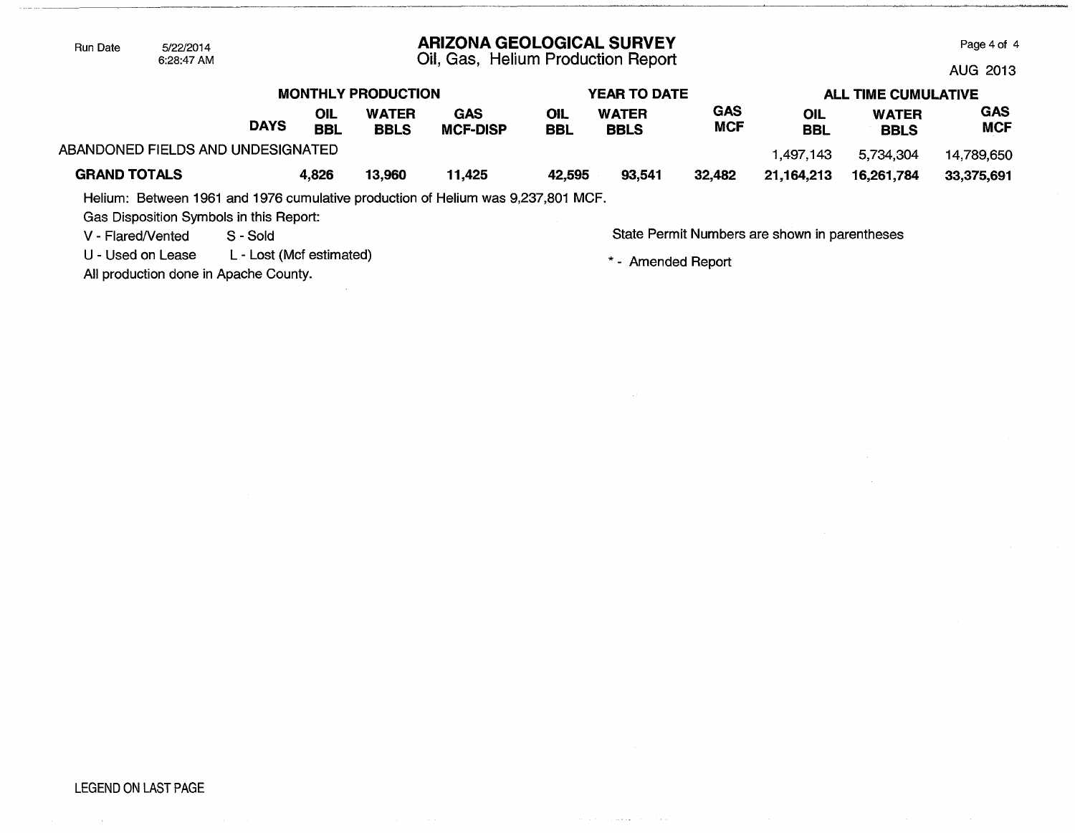| <b>Run Date</b>     | 5/22/2014                               |             | ARIZONA GEOLOGICAL SURVEY<br>Page 4 of 4<br>Oil, Gas, Helium Production Report |                             |                                                                                  |                   |                             |                          |                          |                             |                   |
|---------------------|-----------------------------------------|-------------|--------------------------------------------------------------------------------|-----------------------------|----------------------------------------------------------------------------------|-------------------|-----------------------------|--------------------------|--------------------------|-----------------------------|-------------------|
|                     | 6:28:47 AM                              |             |                                                                                |                             |                                                                                  | AUG 2013          |                             |                          |                          |                             |                   |
|                     |                                         |             |                                                                                | <b>MONTHLY PRODUCTION</b>   |                                                                                  |                   | <b>YEAR TO DATE</b>         |                          |                          | <b>ALL TIME CUMULATIVE</b>  |                   |
|                     |                                         | <b>DAYS</b> | OIL<br><b>BBL</b>                                                              | <b>WATER</b><br><b>BBLS</b> | <b>GAS</b><br><b>MCF-DISP</b>                                                    | <b>OIL</b><br>BBL | <b>WATER</b><br><b>BBLS</b> | <b>GAS</b><br><b>MCF</b> | <b>OIL</b><br><b>BBL</b> | <b>WATER</b><br><b>BBLS</b> | GAS<br><b>MCF</b> |
|                     | ABANDONED FIELDS AND UNDESIGNATED       |             |                                                                                |                             |                                                                                  |                   |                             |                          | 1,497,143                | 5,734,304                   | 14,789,650        |
| <b>GRAND TOTALS</b> |                                         |             | 4,826                                                                          | 13.960                      | 11,425                                                                           | 42,595            | 93,541                      | 32,482                   | 21, 164, 213             | 16,261,784                  | 33,375,691        |
|                     |                                         |             |                                                                                |                             | Helium: Between 1961 and 1976 cumulative production of Helium was 9,237,801 MCF. |                   |                             |                          |                          |                             |                   |
|                     | Gas Disposition Symbols in this Report: |             |                                                                                |                             |                                                                                  |                   |                             |                          |                          |                             |                   |
| V - Flared/Vented   |                                         | S - Sold    | State Permit Numbers are shown in parentheses                                  |                             |                                                                                  |                   |                             |                          |                          |                             |                   |

U - Used on Lease L - Lost (Mcf estimated)

All production done in Apache County.

\* - Amended Report

الهادا والمتاريات

 $\sim 10^{-1}$